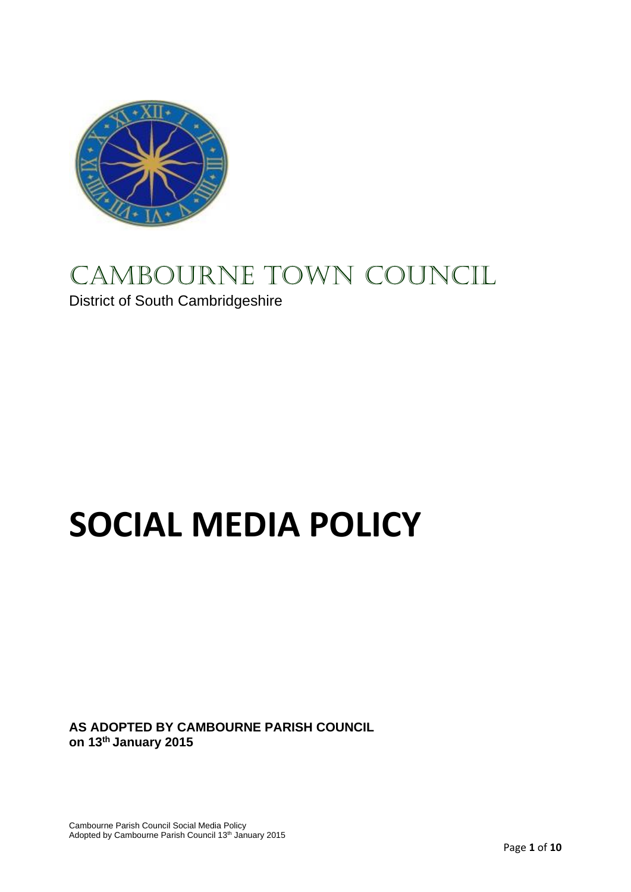

# CAMBOURNE TOWN COUNCIL

District of South Cambridgeshire

# **SOCIAL MEDIA POLICY**

**AS ADOPTED BY CAMBOURNE PARISH COUNCIL on 13th January 2015**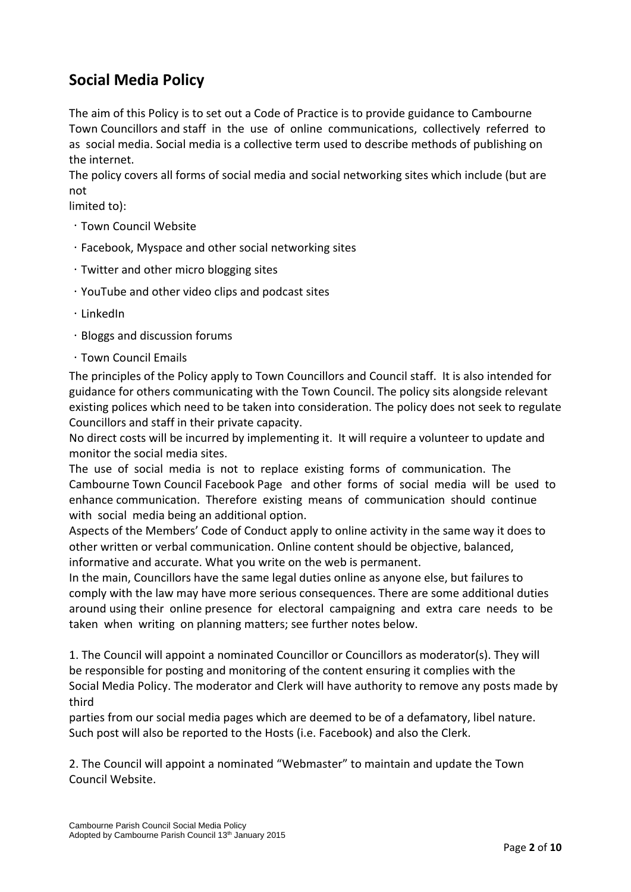# **Social Media Policy**

The aim of this Policy is to set out a Code of Practice is to provide guidance to Cambourne Town Councillors and staff in the use of online communications, collectively referred to as social media. Social media is a collective term used to describe methods of publishing on the internet.

The policy covers all forms of social media and social networking sites which include (but are not

limited to):

- Town Council Website
- Facebook, Myspace and other social networking sites
- Twitter and other micro blogging sites
- YouTube and other video clips and podcast sites
- LinkedIn
- $\cdot$  Bloggs and discussion forums
- Town Council Emails

The principles of the Policy apply to Town Councillors and Council staff. It is also intended for guidance for others communicating with the Town Council. The policy sits alongside relevant existing polices which need to be taken into consideration. The policy does not seek to regulate Councillors and staff in their private capacity.

No direct costs will be incurred by implementing it. It will require a volunteer to update and monitor the social media sites.

The use of social media is not to replace existing forms of communication. The Cambourne Town Council Facebook Page and other forms of social media will be used to enhance communication. Therefore existing means of communication should continue with social media being an additional option.

Aspects of the Members' Code of Conduct apply to online activity in the same way it does to other written or verbal communication. Online content should be objective, balanced, informative and accurate. What you write on the web is permanent.

In the main, Councillors have the same legal duties online as anyone else, but failures to comply with the law may have more serious consequences. There are some additional duties around using their online presence for electoral campaigning and extra care needs to be taken when writing on planning matters; see further notes below.

1. The Council will appoint a nominated Councillor or Councillors as moderator(s). They will be responsible for posting and monitoring of the content ensuring it complies with the Social Media Policy. The moderator and Clerk will have authority to remove any posts made by third

parties from our social media pages which are deemed to be of a defamatory, libel nature. Such post will also be reported to the Hosts (i.e. Facebook) and also the Clerk.

2. The Council will appoint a nominated "Webmaster" to maintain and update the Town Council Website.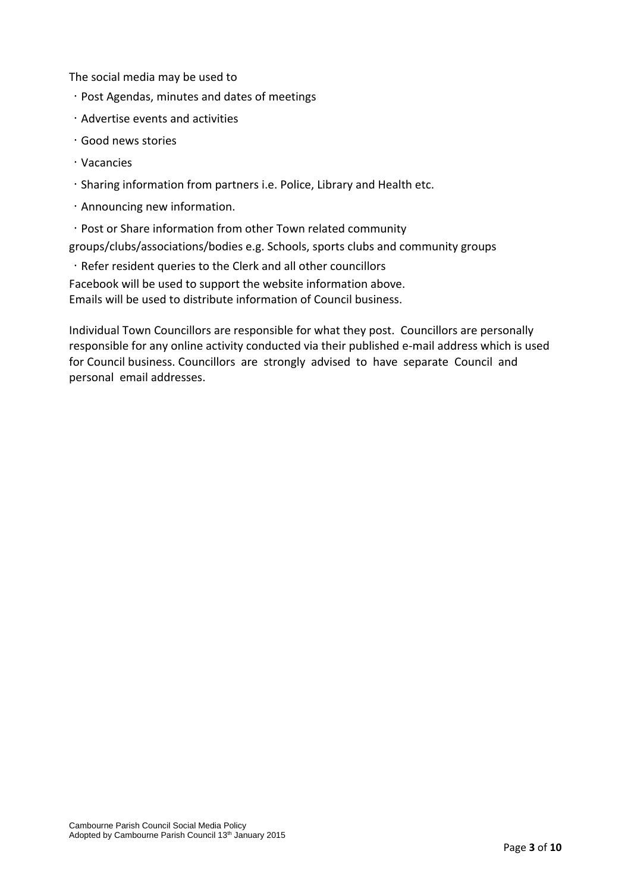The social media may be used to

- $\cdot$  Post Agendas, minutes and dates of meetings
- $\cdot$  Advertise events and activities
- Good news stories
- Vacancies
- Sharing information from partners i.e. Police, Library and Health etc.
- Announcing new information.
- Post or Share information from other Town related community

groups/clubs/associations/bodies e.g. Schools, sports clubs and community groups

Refer resident queries to the Clerk and all other councillors

Facebook will be used to support the website information above. Emails will be used to distribute information of Council business.

Individual Town Councillors are responsible for what they post. Councillors are personally responsible for any online activity conducted via their published e-mail address which is used for Council business. Councillors are strongly advised to have separate Council and personal email addresses.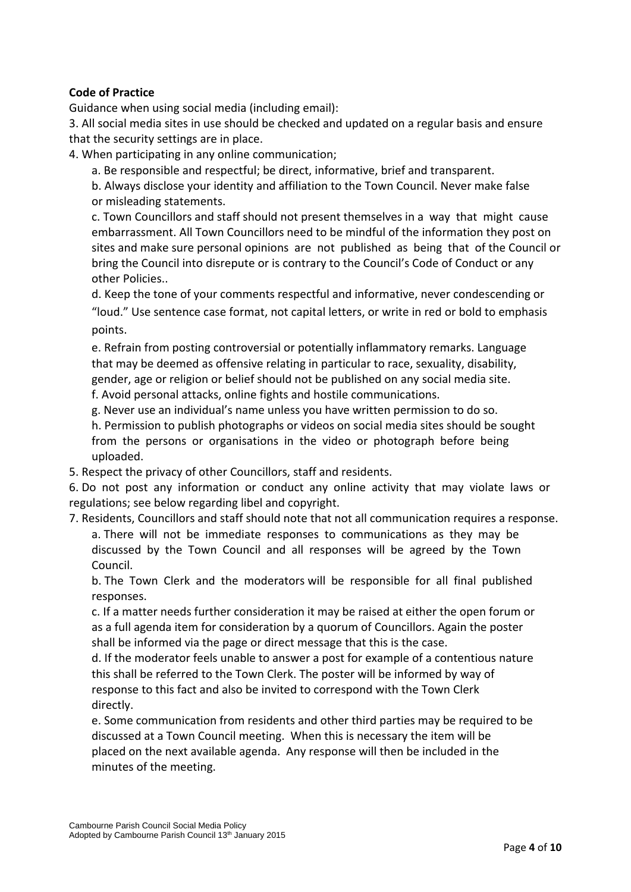#### **Code of Practice**

Guidance when using social media (including email):

3. All social media sites in use should be checked and updated on a regular basis and ensure that the security settings are in place.

4. When participating in any online communication;

a. Be responsible and respectful; be direct, informative, brief and transparent.

b. Always disclose your identity and affiliation to the Town Council. Never make false or misleading statements.

c. Town Councillors and staff should not present themselves in a way that might cause embarrassment. All Town Councillors need to be mindful of the information they post on sites and make sure personal opinions are not published as being that of the Council or bring the Council into disrepute or is contrary to the Council's Code of Conduct or any other Policies..

d. Keep the tone of your comments respectful and informative, never condescending or "loud." Use sentence case format, not capital letters, or write in red or bold to emphasis points.

e. Refrain from posting controversial or potentially inflammatory remarks. Language that may be deemed as offensive relating in particular to race, sexuality, disability, gender, age or religion or belief should not be published on any social media site.

f. Avoid personal attacks, online fights and hostile communications.

g. Never use an individual's name unless you have written permission to do so.

h. Permission to publish photographs or videos on social media sites should be sought from the persons or organisations in the video or photograph before being uploaded.

5. Respect the privacy of other Councillors, staff and residents.

6. Do not post any information or conduct any online activity that may violate laws or regulations; see below regarding libel and copyright.

7. Residents, Councillors and staff should note that not all communication requires a response. a. There will not be immediate responses to communications as they may be discussed by the Town Council and all responses will be agreed by the Town Council.

b. The Town Clerk and the moderators will be responsible for all final published responses.

c. If a matter needs further consideration it may be raised at either the open forum or as a full agenda item for consideration by a quorum of Councillors. Again the poster shall be informed via the page or direct message that this is the case.

d. If the moderator feels unable to answer a post for example of a contentious nature this shall be referred to the Town Clerk. The poster will be informed by way of response to this fact and also be invited to correspond with the Town Clerk directly.

e. Some communication from residents and other third parties may be required to be discussed at a Town Council meeting. When this is necessary the item will be placed on the next available agenda. Any response will then be included in the minutes of the meeting.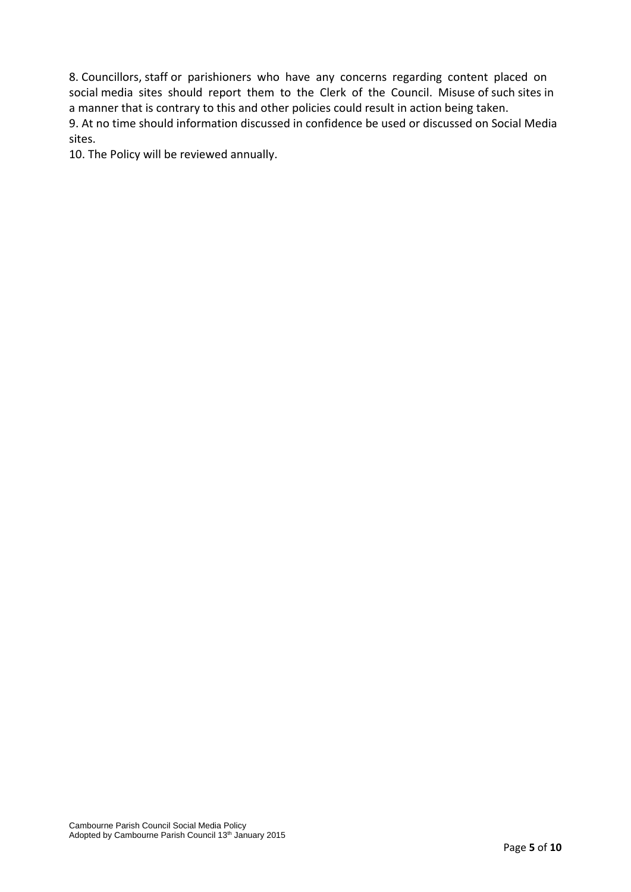8. Councillors, staff or parishioners who have any concerns regarding content placed on social media sites should report them to the Clerk of the Council. Misuse of such sites in a manner that is contrary to this and other policies could result in action being taken. 9. At no time should information discussed in confidence be used or discussed on Social Media sites.

10. The Policy will be reviewed annually.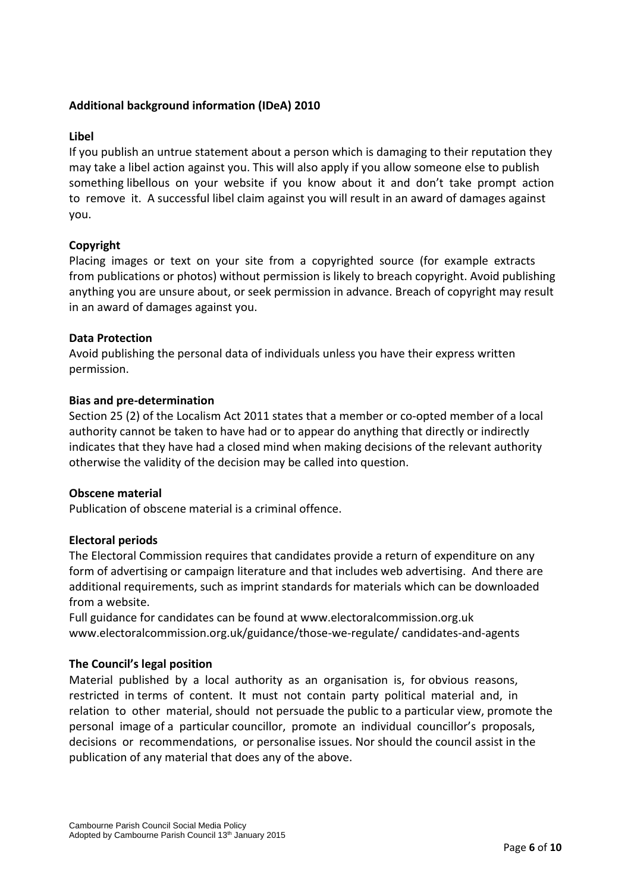#### **Additional background information (IDeA) 2010**

#### **Libel**

If you publish an untrue statement about a person which is damaging to their reputation they may take a libel action against you. This will also apply if you allow someone else to publish something libellous on your website if you know about it and don't take prompt action to remove it. A successful libel claim against you will result in an award of damages against you.

#### **Copyright**

Placing images or text on your site from a copyrighted source (for example extracts from publications or photos) without permission is likely to breach copyright. Avoid publishing anything you are unsure about, or seek permission in advance. Breach of copyright may result in an award of damages against you.

#### **Data Protection**

Avoid publishing the personal data of individuals unless you have their express written permission.

#### **Bias and pre-determination**

Section 25 (2) of the Localism Act 2011 states that a member or co-opted member of a local authority cannot be taken to have had or to appear do anything that directly or indirectly indicates that they have had a closed mind when making decisions of the relevant authority otherwise the validity of the decision may be called into question.

#### **Obscene material**

Publication of obscene material is a criminal offence.

#### **Electoral periods**

The Electoral Commission requires that candidates provide a return of expenditure on any form of advertising or campaign literature and that includes web advertising. And there are additional requirements, such as imprint standards for materials which can be downloaded from a website.

Full guidance for candidates can be found at www.electoralcommission.org.uk www.electoralcommission.org.uk/guidance/those-we-regulate/ candidates-and-agents

#### **The Council's legal position**

Material published by a local authority as an organisation is, for obvious reasons, restricted in terms of content. It must not contain party political material and, in relation to other material, should not persuade the public to a particular view, promote the personal image of a particular councillor, promote an individual councillor's proposals, decisions or recommendations, or personalise issues. Nor should the council assist in the publication of any material that does any of the above.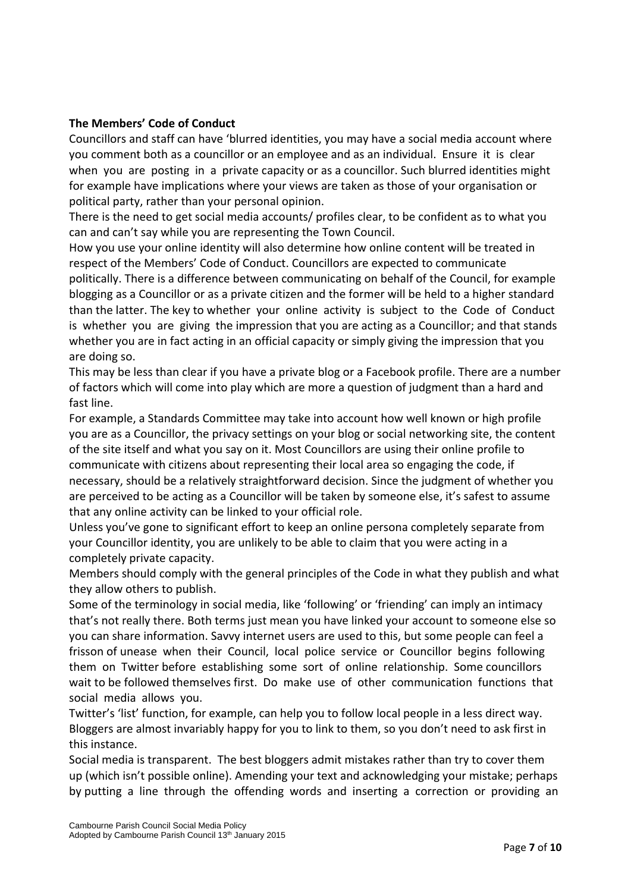#### **The Members' Code of Conduct**

Councillors and staff can have 'blurred identities, you may have a social media account where you comment both as a councillor or an employee and as an individual. Ensure it is clear when you are posting in a private capacity or as a councillor. Such blurred identities might for example have implications where your views are taken as those of your organisation or political party, rather than your personal opinion.

There is the need to get social media accounts/ profiles clear, to be confident as to what you can and can't say while you are representing the Town Council.

How you use your online identity will also determine how online content will be treated in respect of the Members' Code of Conduct. Councillors are expected to communicate politically. There is a difference between communicating on behalf of the Council, for example blogging as a Councillor or as a private citizen and the former will be held to a higher standard than the latter. The key to whether your online activity is subject to the Code of Conduct is whether you are giving the impression that you are acting as a Councillor; and that stands whether you are in fact acting in an official capacity or simply giving the impression that you are doing so.

This may be less than clear if you have a private blog or a Facebook profile. There are a number of factors which will come into play which are more a question of judgment than a hard and fast line.

For example, a Standards Committee may take into account how well known or high profile you are as a Councillor, the privacy settings on your blog or social networking site, the content of the site itself and what you say on it. Most Councillors are using their online profile to communicate with citizens about representing their local area so engaging the code, if necessary, should be a relatively straightforward decision. Since the judgment of whether you are perceived to be acting as a Councillor will be taken by someone else, it's safest to assume that any online activity can be linked to your official role.

Unless you've gone to significant effort to keep an online persona completely separate from your Councillor identity, you are unlikely to be able to claim that you were acting in a completely private capacity.

Members should comply with the general principles of the Code in what they publish and what they allow others to publish.

Some of the terminology in social media, like 'following' or 'friending' can imply an intimacy that's not really there. Both terms just mean you have linked your account to someone else so you can share information. Savvy internet users are used to this, but some people can feel a frisson of unease when their Council, local police service or Councillor begins following them on Twitter before establishing some sort of online relationship. Some councillors wait to be followed themselves first. Do make use of other communication functions that social media allows you.

Twitter's 'list' function, for example, can help you to follow local people in a less direct way. Bloggers are almost invariably happy for you to link to them, so you don't need to ask first in this instance.

Social media is transparent. The best bloggers admit mistakes rather than try to cover them up (which isn't possible online). Amending your text and acknowledging your mistake; perhaps by putting a line through the offending words and inserting a correction or providing an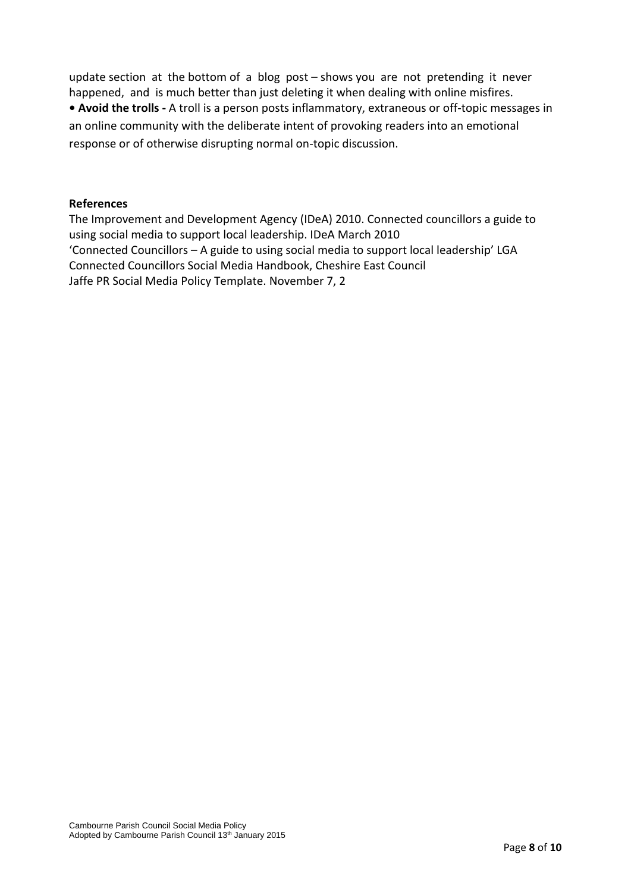update section at the bottom of a blog post – shows you are not pretending it never happened, and is much better than just deleting it when dealing with online misfires. **• Avoid the trolls -** A troll is a person posts inflammatory, extraneous or off-topic messages in an online community with the deliberate intent of provoking readers into an emotional response or of otherwise disrupting normal on-topic discussion.

#### **References**

The Improvement and Development Agency (IDeA) 2010. Connected councillors a guide to using social media to support local leadership. IDeA March 2010 'Connected Councillors – A guide to using social media to support local leadership' LGA Connected Councillors Social Media Handbook, Cheshire East Council Jaffe PR Social Media Policy Template. November 7, 2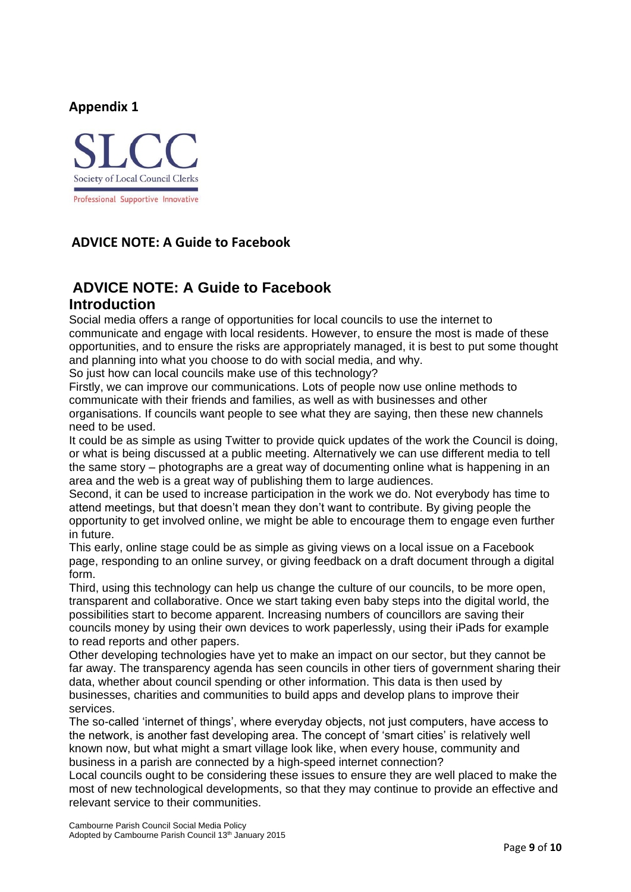#### **Appendix 1**



### **ADVICE NOTE: A Guide to Facebook**

## **ADVICE NOTE: A Guide to Facebook Introduction**

Social media offers a range of opportunities for local councils to use the internet to communicate and engage with local residents. However, to ensure the most is made of these opportunities, and to ensure the risks are appropriately managed, it is best to put some thought and planning into what you choose to do with social media, and why.

So just how can local councils make use of this technology?

Firstly, we can improve our communications. Lots of people now use online methods to communicate with their friends and families, as well as with businesses and other organisations. If councils want people to see what they are saying, then these new channels need to be used.

It could be as simple as using Twitter to provide quick updates of the work the Council is doing, or what is being discussed at a public meeting. Alternatively we can use different media to tell the same story – photographs are a great way of documenting online what is happening in an area and the web is a great way of publishing them to large audiences.

Second, it can be used to increase participation in the work we do. Not everybody has time to attend meetings, but that doesn't mean they don't want to contribute. By giving people the opportunity to get involved online, we might be able to encourage them to engage even further in future.

This early, online stage could be as simple as giving views on a local issue on a Facebook page, responding to an online survey, or giving feedback on a draft document through a digital form.

Third, using this technology can help us change the culture of our councils, to be more open, transparent and collaborative. Once we start taking even baby steps into the digital world, the possibilities start to become apparent. Increasing numbers of councillors are saving their councils money by using their own devices to work paperlessly, using their iPads for example to read reports and other papers.

Other developing technologies have yet to make an impact on our sector, but they cannot be far away. The transparency agenda has seen councils in other tiers of government sharing their data, whether about council spending or other information. This data is then used by businesses, charities and communities to build apps and develop plans to improve their services.

The so-called 'internet of things', where everyday objects, not just computers, have access to the network, is another fast developing area. The concept of 'smart cities' is relatively well known now, but what might a smart village look like, when every house, community and business in a parish are connected by a high-speed internet connection?

Local councils ought to be considering these issues to ensure they are well placed to make the most of new technological developments, so that they may continue to provide an effective and relevant service to their communities.